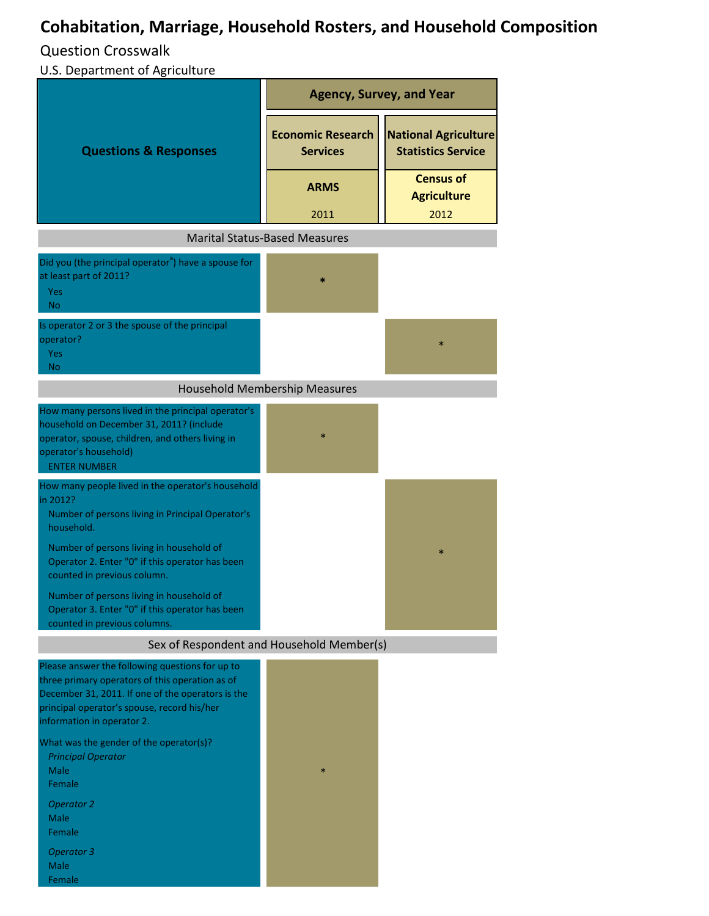## **Cohabitation, Marriage, Household Rosters, and Household Composition**

Question Crosswalk

U.S. Department of Agriculture

|                                                                                                                                                                                                                                      | <b>Agency, Survey, and Year</b>             |                                                          |
|--------------------------------------------------------------------------------------------------------------------------------------------------------------------------------------------------------------------------------------|---------------------------------------------|----------------------------------------------------------|
| <b>Questions &amp; Responses</b>                                                                                                                                                                                                     | <b>Economic Research</b><br><b>Services</b> | <b>National Agriculture</b><br><b>Statistics Service</b> |
|                                                                                                                                                                                                                                      | <b>ARMS</b><br>2011                         | <b>Census of</b><br><b>Agriculture</b><br>2012           |
|                                                                                                                                                                                                                                      | <b>Marital Status-Based Measures</b>        |                                                          |
| Did you (the principal operator <sup>a</sup> ) have a spouse for<br>at least part of 2011?<br>Yes<br>No.                                                                                                                             |                                             |                                                          |
| Is operator 2 or 3 the spouse of the principal<br>operator?<br><b>Yes</b><br><b>No</b>                                                                                                                                               |                                             | $\ast$                                                   |
| <b>Household Membership Measures</b>                                                                                                                                                                                                 |                                             |                                                          |
| How many persons lived in the principal operator's<br>household on December 31, 2011? (include<br>operator, spouse, children, and others living in<br>operator's household)<br><b>ENTER NUMBER</b>                                   | $\ast$                                      |                                                          |
| How many people lived in the operator's household<br>in 2012?<br>Number of persons living in Principal Operator's<br>household.                                                                                                      |                                             |                                                          |
| Number of persons living in household of<br>Operator 2. Enter "0" if this operator has been<br>counted in previous column.                                                                                                           |                                             | $\ast$                                                   |
| Number of persons living in household of<br>Operator 3. Enter "0" if this operator has been<br>counted in previous columns.                                                                                                          |                                             |                                                          |
| Sex of Respondent and Household Member(s)                                                                                                                                                                                            |                                             |                                                          |
| Please answer the following questions for up to<br>three primary operators of this operation as of<br>December 31, 2011. If one of the operators is the<br>principal operator's spouse, record his/her<br>information in operator 2. |                                             |                                                          |
| What was the gender of the operator(s)?<br><b>Principal Operator</b><br>Male<br>Female<br><b>Operator 2</b>                                                                                                                          | $\ast$                                      |                                                          |
| Male<br>Female<br><b>Operator 3</b><br>Male<br>Female                                                                                                                                                                                |                                             |                                                          |